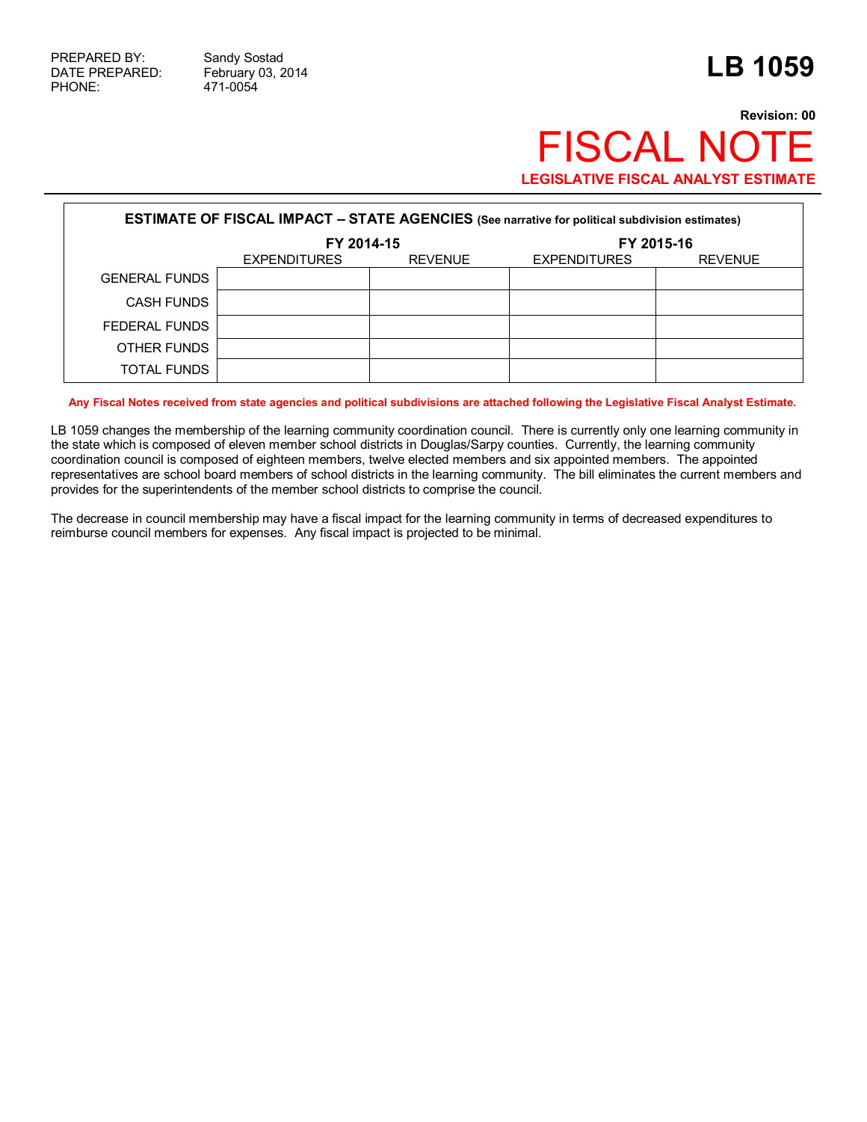471-0054

## **Revision: 00 FISCAL NOT LEGISLATIVE FISCAL ANALYST ESTIMATE**

| <b>ESTIMATE OF FISCAL IMPACT - STATE AGENCIES</b> (See narrative for political subdivision estimates) |                     |                |                     |                |  |  |  |
|-------------------------------------------------------------------------------------------------------|---------------------|----------------|---------------------|----------------|--|--|--|
|                                                                                                       | FY 2014-15          |                | FY 2015-16          |                |  |  |  |
|                                                                                                       | <b>EXPENDITURES</b> | <b>REVENUE</b> | <b>EXPENDITURES</b> | <b>REVENUE</b> |  |  |  |
| <b>GENERAL FUNDS</b>                                                                                  |                     |                |                     |                |  |  |  |
| <b>CASH FUNDS</b>                                                                                     |                     |                |                     |                |  |  |  |
| FEDERAL FUNDS                                                                                         |                     |                |                     |                |  |  |  |
| OTHER FUNDS                                                                                           |                     |                |                     |                |  |  |  |
| <b>TOTAL FUNDS</b>                                                                                    |                     |                |                     |                |  |  |  |

**Any Fiscal Notes received from state agencies and political subdivisions are attached following the Legislative Fiscal Analyst Estimate.**

LB 1059 changes the membership of the learning community coordination council. There is currently only one learning community in the state which is composed of eleven member school districts in Douglas/Sarpy counties. Currently, the learning community coordination council is composed of eighteen members, twelve elected members and six appointed members. The appointed representatives are school board members of school districts in the learning community. The bill eliminates the current members and provides for the superintendents of the member school districts to comprise the council.

The decrease in council membership may have a fiscal impact for the learning community in terms of decreased expenditures to reimburse council members for expenses. Any fiscal impact is projected to be minimal.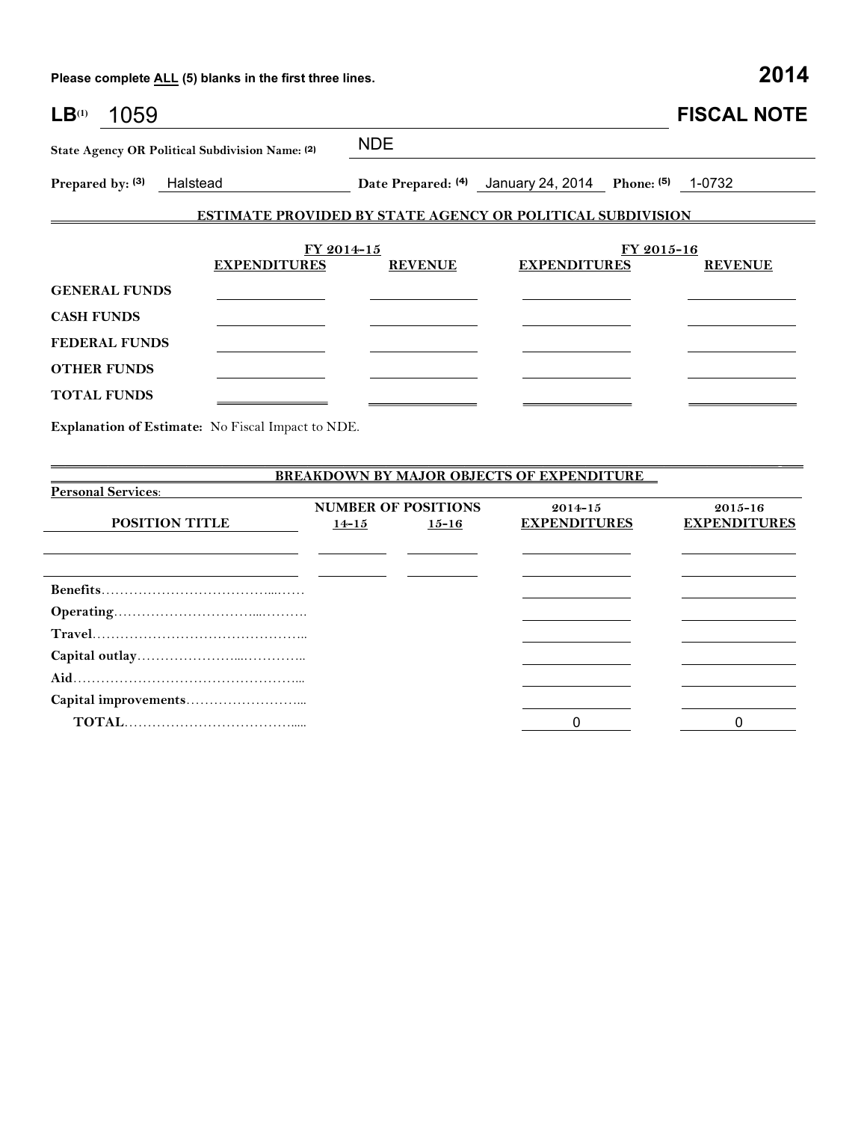**Please complete ALL (5) blanks in the first three lines. 2014**

| LB <sup>(1)</sup><br>1059                       |                                                                   |                |                                                       |            | <b>FISCAL NOTE</b> |
|-------------------------------------------------|-------------------------------------------------------------------|----------------|-------------------------------------------------------|------------|--------------------|
| State Agency OR Political Subdivision Name: (2) |                                                                   | <b>NDE</b>     |                                                       |            |                    |
| Prepared by: (3)<br>Halstead                    |                                                                   |                | Date Prepared: (4) January 24, 2014 Phone: (5) 1-0732 |            |                    |
|                                                 | <b>ESTIMATE PROVIDED BY STATE AGENCY OR POLITICAL SUBDIVISION</b> |                |                                                       |            |                    |
|                                                 | FY 2014-15                                                        |                |                                                       | FY 2015-16 |                    |
|                                                 | <b>EXPENDITURES</b>                                               | <b>REVENUE</b> | <b>EXPENDITURES</b>                                   |            | <b>REVENUE</b>     |
| <b>GENERAL FUNDS</b>                            |                                                                   |                |                                                       |            |                    |
| <b>CASH FUNDS</b>                               |                                                                   |                |                                                       |            |                    |
| <b>FEDERAL FUNDS</b>                            |                                                                   |                |                                                       |            |                    |
| <b>OTHER FUNDS</b>                              |                                                                   |                |                                                       |            |                    |
| <b>TOTAL FUNDS</b>                              |                                                                   |                |                                                       |            |                    |
|                                                 | Evalentian of Estimato. No Fiscal Innact to NDF                   |                |                                                       |            |                    |

**Explanation of Estimate:** No Fiscal Impact to NDE.

| <b>BREAKDOWN BY MAJOR OBJECTS OF EXPENDITURE</b> |           |                            |                     |                     |  |  |  |
|--------------------------------------------------|-----------|----------------------------|---------------------|---------------------|--|--|--|
| <b>Personal Services:</b>                        |           |                            |                     |                     |  |  |  |
|                                                  |           | <b>NUMBER OF POSITIONS</b> | $2014 - 15$         | $2015 - 16$         |  |  |  |
| <b>POSITION TITLE</b>                            | $14 - 15$ | $15 - 16$                  | <b>EXPENDITURES</b> | <b>EXPENDITURES</b> |  |  |  |
|                                                  |           |                            |                     |                     |  |  |  |
|                                                  |           |                            |                     |                     |  |  |  |
|                                                  |           |                            |                     |                     |  |  |  |
|                                                  |           |                            |                     |                     |  |  |  |
|                                                  |           |                            |                     |                     |  |  |  |
|                                                  |           |                            |                     |                     |  |  |  |
|                                                  |           |                            |                     |                     |  |  |  |
|                                                  |           |                            |                     |                     |  |  |  |
|                                                  |           |                            |                     |                     |  |  |  |
|                                                  |           |                            |                     |                     |  |  |  |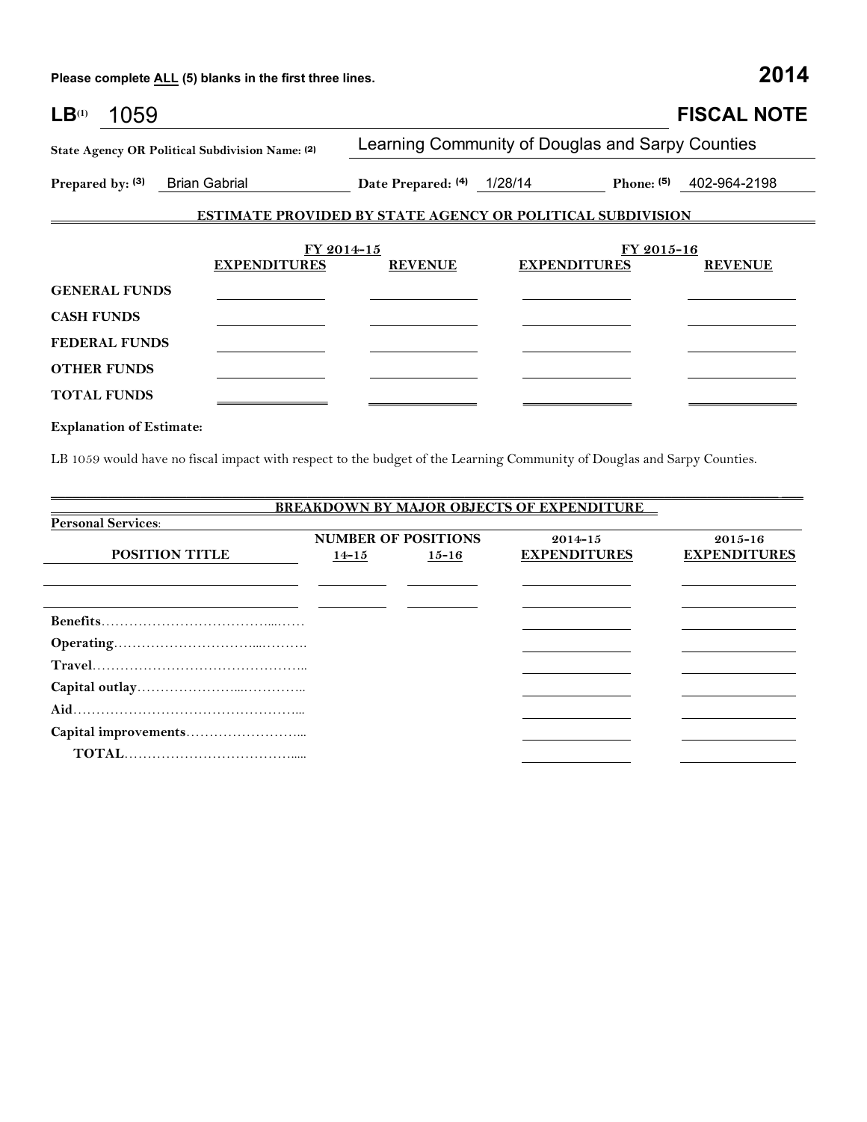**Please complete ALL (5) blanks in the first three lines. 2014**

| LB <sup>(1)</sup>    | 1059 |                                                                   |                            |                                                  |            | <b>FISCAL NOTE</b>        |
|----------------------|------|-------------------------------------------------------------------|----------------------------|--------------------------------------------------|------------|---------------------------|
|                      |      | State Agency OR Political Subdivision Name: (2)                   |                            | Learning Community of Douglas and Sarpy Counties |            |                           |
|                      |      | Prepared by: (3) Brian Gabrial                                    | Date Prepared: (4) 1/28/14 |                                                  |            | Phone: $(5)$ 402-964-2198 |
|                      |      | <b>ESTIMATE PROVIDED BY STATE AGENCY OR POLITICAL SUBDIVISION</b> |                            |                                                  |            |                           |
|                      |      | FY 2014-15                                                        |                            |                                                  | FY 2015-16 |                           |
| <b>GENERAL FUNDS</b> |      | <b>EXPENDITURES</b>                                               | <b>REVENUE</b>             | <b>EXPENDITURES</b>                              |            | <b>REVENUE</b>            |
|                      |      |                                                                   |                            |                                                  |            |                           |
| <b>CASH FUNDS</b>    |      |                                                                   |                            |                                                  |            |                           |
| <b>FEDERAL FUNDS</b> |      |                                                                   |                            |                                                  |            |                           |
| <b>OTHER FUNDS</b>   |      |                                                                   |                            |                                                  |            |                           |
| <b>TOTAL FUNDS</b>   |      |                                                                   |                            |                                                  |            |                           |

**Explanation of Estimate:**

LB 1059 would have no fiscal impact with respect to the budget of the Learning Community of Douglas and Sarpy Counties.

\_\_\_\_\_\_\_\_\_\_\_\_\_\_\_\_\_\_\_\_\_\_\_\_\_\_\_\_\_\_\_\_\_\_\_\_\_\_\_\_\_\_\_\_\_\_\_\_\_\_\_\_\_\_\_\_\_\_\_\_\_\_\_\_\_\_\_\_\_\_\_\_\_\_\_\_\_\_\_\_\_\_\_\_\_\_\_\_\_\_\_\_\_\_\_\_\_\_\_\_\_\_ \_\_\_

| <b>BREAKDOWN BY MAJOR OBJECTS OF EXPENDITURE</b> |                                                          |           |                     |                     |  |  |  |
|--------------------------------------------------|----------------------------------------------------------|-----------|---------------------|---------------------|--|--|--|
| <b>Personal Services:</b>                        |                                                          |           |                     |                     |  |  |  |
|                                                  | <b>NUMBER OF POSITIONS</b><br>$2015 - 16$<br>$2014 - 15$ |           |                     |                     |  |  |  |
| <b>POSITION TITLE</b>                            | $14 - 15$                                                | $15 - 16$ | <b>EXPENDITURES</b> | <b>EXPENDITURES</b> |  |  |  |
|                                                  |                                                          |           |                     |                     |  |  |  |
|                                                  |                                                          |           |                     |                     |  |  |  |
|                                                  |                                                          |           |                     |                     |  |  |  |
|                                                  |                                                          |           |                     |                     |  |  |  |
|                                                  |                                                          |           |                     |                     |  |  |  |
|                                                  |                                                          |           |                     |                     |  |  |  |
|                                                  |                                                          |           |                     |                     |  |  |  |
|                                                  |                                                          |           |                     |                     |  |  |  |
|                                                  |                                                          |           |                     |                     |  |  |  |
|                                                  |                                                          |           |                     |                     |  |  |  |